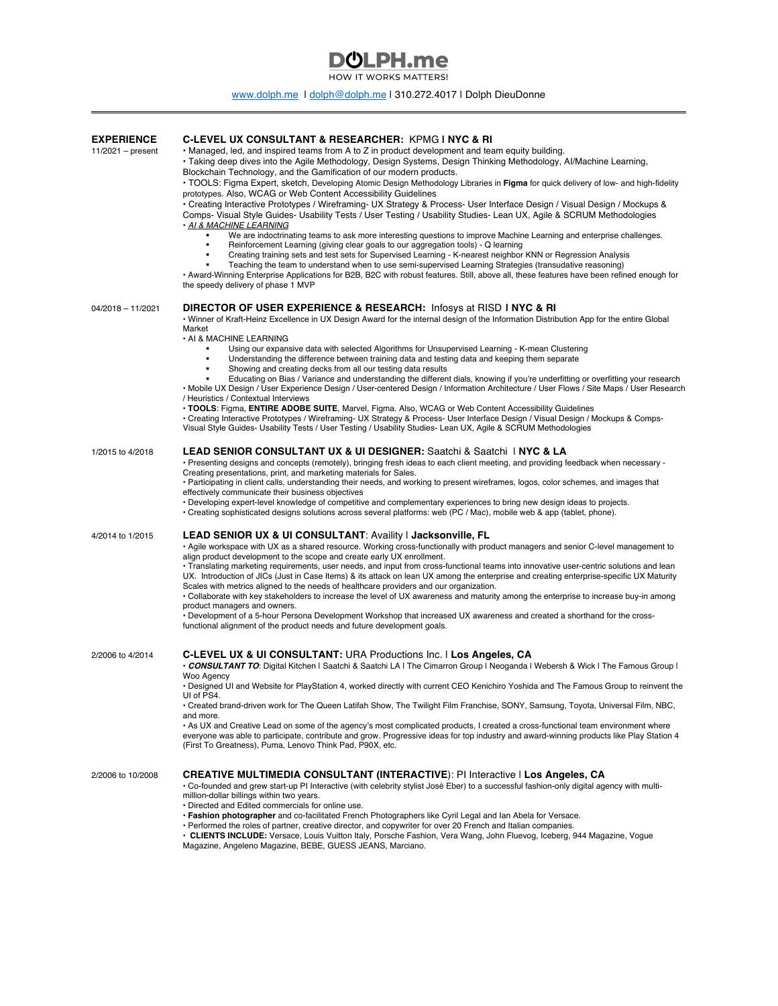## (hLDH.me

HOW IT WORKS MATTERS!

## www.dolph.me | dolph@dolph.me | 310.272.4017 | Dolph DieuDonne